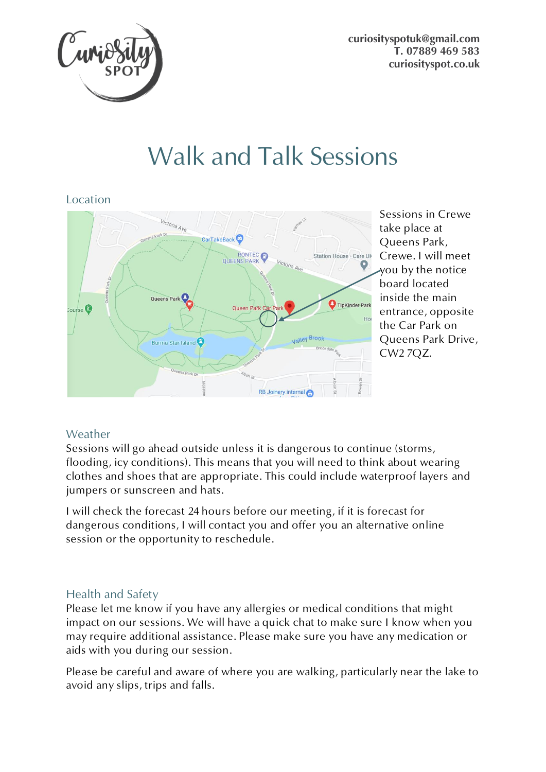**[curiosityspotuk@gmail.com](mailto:curiosityspotuk@gmail.com) T. 07889 469 583 [curiosityspot.co.uk](http://www.curiosityspot.co.uk/)**



# Walk and Talk Sessions



Sessions in Crewe take place at Queens Park, Crewe. I will meet you by the notice board located inside the main entrance, opposite the Car Park on Queens Park Drive, CW2 7QZ.

## Weather

Sessions will go ahead outside unless it is dangerous to continue (storms, flooding, icy conditions). This means that you will need to think about wearing clothes and shoes that are appropriate. This could include waterproof layers and jumpers or sunscreen and hats.

I will check the forecast 24 hours before our meeting, if it is forecast for dangerous conditions, I will contact you and offer you an alternative online session or the opportunity to reschedule.

### Health and Safety

Please let me know if you have any allergies or medical conditions that might impact on our sessions. We will have a quick chat to make sure I know when you may require additional assistance. Please make sure you have any medication or aids with you during our session.

Please be careful and aware of where you are walking, particularly near the lake to avoid any slips, trips and falls.